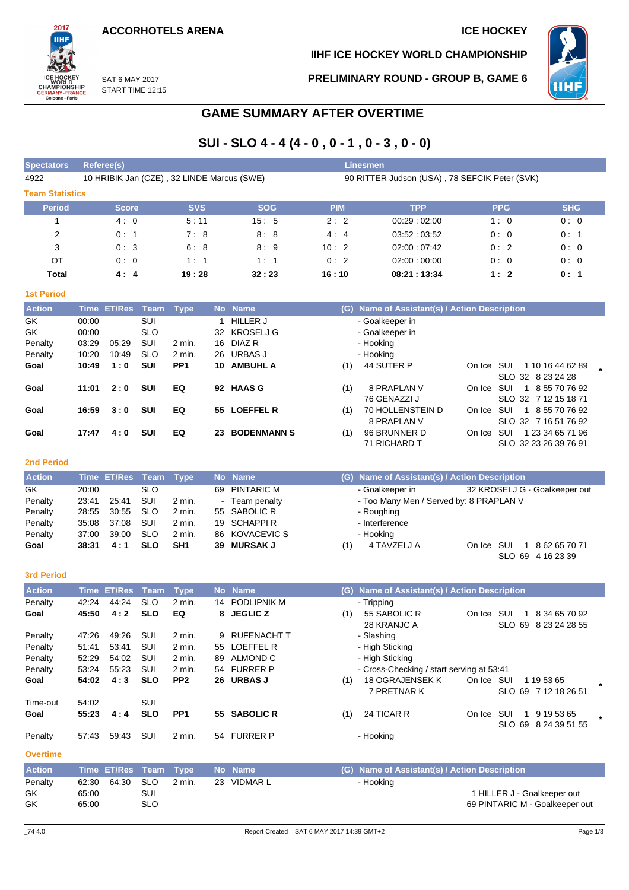

### **IIHF ICE HOCKEY WORLD CHAMPIONSHIP**

**PRELIMINARY ROUND - GROUP B, GAME 6**



SAT 6 MAY 2017 START TIME 12:15

# **GAME SUMMARY AFTER OVERTIME**

# **SUI - SLO 4 - 4 (4 - 0 , 0 - 1 , 0 - 3 , 0 - 0)**

| <b>Spectators</b>      | Referee(s)                                 |            |            | <b>Linesmen</b> |                                               |            |            |  |  |  |  |  |  |  |
|------------------------|--------------------------------------------|------------|------------|-----------------|-----------------------------------------------|------------|------------|--|--|--|--|--|--|--|
| 4922                   | 10 HRIBIK Jan (CZE), 32 LINDE Marcus (SWE) |            |            |                 | 90 RITTER Judson (USA), 78 SEFCIK Peter (SVK) |            |            |  |  |  |  |  |  |  |
| <b>Team Statistics</b> |                                            |            |            |                 |                                               |            |            |  |  |  |  |  |  |  |
| Period                 | <b>Score</b>                               | <b>SVS</b> | <b>SOG</b> | <b>PIM</b>      | <b>TPP</b>                                    | <b>PPG</b> | <b>SHG</b> |  |  |  |  |  |  |  |
|                        | 4:0                                        | 5:11       | 15:5       | 2:2             | 00:29:02:00                                   | 1:0        | 0:0        |  |  |  |  |  |  |  |
| $\overline{2}$         | 0:1                                        | 7:8        | 8:8        | 4:4             | 03.52:03.52                                   | 0:0        | 0:1        |  |  |  |  |  |  |  |
| 3                      | 0:3                                        | 6:8        | 8:9        | 10:2            | 02:00:07:42                                   | 0:2        | 0:0        |  |  |  |  |  |  |  |
| OT                     | 0:0                                        | 1:1        | 1:1        | 0:2             | 02:00:00:00                                   | 0:0        | 0:0        |  |  |  |  |  |  |  |
| Total                  | 4:4                                        | 19:28      | 32:23      | 16:10           | 08:21:13:34                                   | 1:2        | 0:1        |  |  |  |  |  |  |  |

#### **1st Period**

| <b>Action</b> |       | Time ET/Res Team |            | Type            |     | No Name            |     | (G) Name of Assistant(s) / Action Description |            |                         |  |
|---------------|-------|------------------|------------|-----------------|-----|--------------------|-----|-----------------------------------------------|------------|-------------------------|--|
| GK            | 00:00 |                  | SUI        |                 |     | <b>HILLER J</b>    |     | - Goalkeeper in                               |            |                         |  |
| GK.           | 00:00 |                  | <b>SLO</b> |                 |     | 32 KROSELJ G       |     | - Goalkeeper in                               |            |                         |  |
| Penalty       | 03:29 | 05.29            | SUI        | 2 min.          | 16. | DIAZ R             |     | - Hooking                                     |            |                         |  |
| Penalty       | 10:20 | 10:49            | <b>SLO</b> | 2 min.          |     | 26 URBAS J         |     | - Hooking                                     |            |                         |  |
| Goal          | 10:49 | 1:0              | <b>SUI</b> | PP <sub>1</sub> | 10. | <b>AMBUHL A</b>    | (1) | 44 SUTER P                                    | On Ice SUI | 1 10 16 44 62 89        |  |
|               |       |                  |            |                 |     |                    |     |                                               |            | SLO 32 8 23 24 28       |  |
| Goal          | 11:01 | 2:0              | <b>SUI</b> | EQ              |     | 92 HAAS G          | (1) | 8 PRAPLAN V                                   | On Ice SUI | 1 8 55 70 76 92         |  |
|               |       |                  |            |                 |     |                    |     | 76 GENAZZI J                                  |            | SLO 32 7 12 15 18 71    |  |
| Goal          | 16:59 | 3:0              | <b>SUI</b> | EQ              | 55  | <b>LOEFFEL R</b>   | (1) | 70 HOLLENSTEIN D                              | On Ice SUI | 1 8 55 70 76 92         |  |
|               |       |                  |            |                 |     |                    |     | 8 PRAPLAN V                                   |            | SLO 32 7 16 51 76 92    |  |
| Goal          | 17:47 | 4:0              | SUI        | EQ              | 23  | <b>BODENMANN S</b> | (1) | 96 BRUNNER D                                  | On Ice     | SUI<br>1 23 34 65 71 96 |  |
|               |       |                  |            |                 |     |                    |     | 71 RICHARD T                                  |            | SLO 32 23 26 39 76 91   |  |

#### **2nd Period**

| <b>Action</b> |       | Time ET/Res Team Type |            |          | No Name        |     | (G) Name of Assistant(s) / Action Description |            |                               |
|---------------|-------|-----------------------|------------|----------|----------------|-----|-----------------------------------------------|------------|-------------------------------|
| GK.           | 20:00 |                       | <b>SLO</b> |          | 69 PINTARIC M  |     | - Goalkeeper in                               |            | 32 KROSELJ G - Goalkeeper out |
| Penalty       | 23:41 | 25:41                 | SUI        | 2 min.   | - Team penalty |     | - Too Many Men / Served by: 8 PRAPLAN V       |            |                               |
| Penalty       | 28:55 | 30.55                 | <b>SLO</b> | 2 min.   | 55 SABOLIC R   |     | - Roughing                                    |            |                               |
| Penalty       | 35:08 | 37:08                 | SUI        | 2 min.   | 19 SCHAPPIR    |     | - Interference                                |            |                               |
| Penalty       | 37:00 | 39:00                 | <b>SLO</b> | $2$ min. | 86 KOVACEVIC S |     | - Hooking                                     |            |                               |
| Goal          | 38:31 | 4:1                   | <b>SLO</b> | SH1      | 39 MURSAK J    | (1) | 4 TAVZELJ A                                   | On Ice SUI | 8 62 65 70 71                 |
|               |       |                       |            |          |                |     |                                               |            | SLO 69 4 16 23 39             |

#### **3rd Period**

| <b>Action</b>   | Time  | <b>ET/Res</b> | Team       | <b>Type</b>     |    | No Name            | <b>Name of Assistant(s) / Action Description</b><br>(G)                                                                  |
|-----------------|-------|---------------|------------|-----------------|----|--------------------|--------------------------------------------------------------------------------------------------------------------------|
| Penalty         | 42:24 | 44:24         | <b>SLO</b> | $2$ min.        |    | 14 PODLIPNIK M     | - Tripping                                                                                                               |
| Goal            | 45:50 | 4:2           | <b>SLO</b> | EQ              |    | 8 JEGLIC Z         | 55 SABOLIC R<br>SUI<br>8 34 65 70 92<br>(1)<br>On Ice<br>28 KRANJC A<br>SLO 69<br>8 23 24 28 55                          |
| Penalty         | 47:26 | 49:26         | SUI        | 2 min.          | 9  | <b>RUFENACHT T</b> | - Slashing                                                                                                               |
| Penalty         | 51:41 | 53.41         | SUI        | $2$ min.        |    | 55 LOEFFEL R       | - High Sticking                                                                                                          |
| Penalty         | 52.29 | 54:02         | SUI        | $2$ min.        | 89 | ALMOND C           | - High Sticking                                                                                                          |
| Penalty         | 53:24 | 55.23         | SUI        | $2$ min.        |    | 54 FURRER P        | - Cross-Checking / start serving at 53:41                                                                                |
| Goal            | 54:02 | 4:3           | <b>SLO</b> | PP <sub>2</sub> |    | 26 URBAS J         | <b>18 OGRAJENSEK K</b><br>SUI<br>(1)<br>On Ice<br>1 19 53 65<br>$\star$<br><b>7 PRETNAR K</b><br>SLO 69<br>7 12 18 26 51 |
| Time-out        | 54:02 |               | SUI        |                 |    |                    |                                                                                                                          |
| Goal            | 55:23 | 4:4           | <b>SLO</b> | PP <sub>1</sub> |    | 55 SABOLIC R       | 24 TICAR R<br>(1)<br>SUI<br>9 19 53 65<br>On Ice<br>SLO 69<br>8 24 39 51 55                                              |
| Penalty         | 57:43 | 59:43         | SUI        | $2$ min.        |    | 54 FURRER P        | - Hooking                                                                                                                |
| <b>Overtime</b> |       |               |            |                 |    |                    |                                                                                                                          |

| <b>Action</b> | Time ET/Res Team Type |     |        | / No Name   | (G) Name of Assistant(s) / Action Description |
|---------------|-----------------------|-----|--------|-------------|-----------------------------------------------|
| Penalty       | 62:30 64:30 SLO       |     | 2 min. | 23 VIDMAR L | - Hooking                                     |
| GK.           | 65:00                 | SUI |        |             | I HILLER J - Goalkeeper out                   |
| GK            | 65:00                 | SLO |        |             | 69 PINTARIC M - Goalkeeper out                |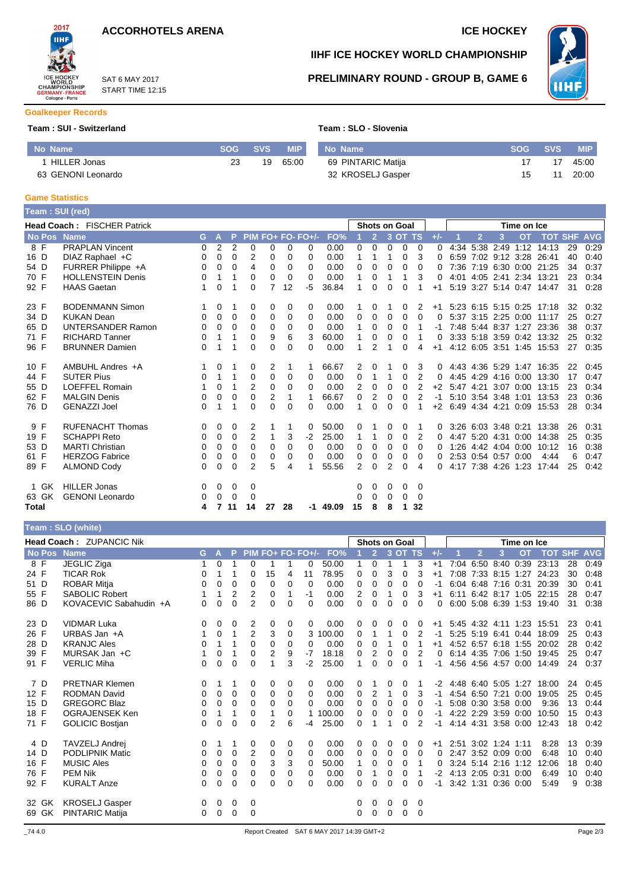

SAT 6 MAY 2017 START TIME 12:15



**IIHF ICE HOCKEY WORLD CHAMPIONSHIP**

**PRELIMINARY ROUND - GROUP B, GAME 6**



**Goalkeeper Records**

#### **Team : SUI - Switzerland Team : SLO - Slovenia**

| No Name            | SOG SVS | <b>MIP</b> | No Name            | <b>SOG</b> | <b>SVS</b> | MIP.  |
|--------------------|---------|------------|--------------------|------------|------------|-------|
| HILLER Jonas       | 19      | 65:00      | 69 PINTARIC Matija |            |            | 45:00 |
| 63 GENONI Leonardo |         |            | 32 KROSELJ Gasper  |            |            | 20:00 |

#### **Game Statistics**

|                                                                                            | Team: SUI (red)          |    |                |          |                |                |    |          |            |              |                |          |          |          |       |      |                     |             |                     |                           |    |      |
|--------------------------------------------------------------------------------------------|--------------------------|----|----------------|----------|----------------|----------------|----|----------|------------|--------------|----------------|----------|----------|----------|-------|------|---------------------|-------------|---------------------|---------------------------|----|------|
| <b>Head Coach: FISCHER Patrick</b><br><b>Shots on Goal</b><br>PIM FO+ FO- FO+/-<br>3 OT TS |                          |    |                |          |                |                |    |          |            |              |                |          |          |          |       |      |                     | Time on Ice |                     |                           |    |      |
| <b>No Pos</b>                                                                              | <b>Name</b>              | G. | A              | P        |                |                |    |          | FO%        |              | $\overline{2}$ |          |          |          | $+/-$ |      | 12                  | 3           | <b>OT</b>           | <b>TOT SHF AVG</b>        |    |      |
| 8 F                                                                                        | <b>PRAPLAN Vincent</b>   | 0  | $\overline{2}$ | 2        | $\Omega$       | 0              | 0  | $\Omega$ | 0.00       | 0            | 0              | $\Omega$ | $\Omega$ | $\Omega$ | 0     | 4:34 |                     |             |                     | 5:38 2:49 1:12 14:13      | 29 | 0:29 |
| 16 D                                                                                       | DIAZ Raphael +C          | 0  | 0              | $\Omega$ | 2              | 0              | 0  | $\Omega$ | 0.00       | 1            | 1              | 1        | 0        | 3        | 0     |      |                     |             |                     | 6:59 7:02 9:12 3:28 26:41 | 40 | 0:40 |
| 54 D                                                                                       | FURRER Philippe +A       | 0  | 0              | 0        | 4              | 0              | 0  | $\Omega$ | 0.00       | 0            | 0              | 0        | 0        | 0        | 0     |      |                     |             |                     | 7:36 7:19 6:30 0:00 21:25 | 34 | 0:37 |
| 70 F                                                                                       | <b>HOLLENSTEIN Denis</b> | 0  |                |          | 0              | 0              | 0  | $\Omega$ | 0.00       | 1            | 0              |          | 1        | 3        | 0     |      |                     |             |                     | 4:01 4:05 2:41 2:34 13:21 | 23 | 0:34 |
| 92 F                                                                                       | <b>HAAS Gaetan</b>       | 1  | 0              | 1        | 0              | 7              | 12 | -5       | 36.84      | 1            | 0              | $\Omega$ | 0        |          | $+1$  |      |                     |             |                     | 5:19 3:27 5:14 0:47 14:47 | 31 | 0:28 |
| 23 F                                                                                       | <b>BODENMANN Simon</b>   |    | 0              |          | 0              | 0              | 0  | 0        | 0.00       | 1            | 0              |          | 0        | 2        | $+1$  |      |                     |             |                     | 5.23 6.15 5.15 0.25 17.18 | 32 | 0:32 |
| 34 D                                                                                       | <b>KUKAN Dean</b>        | 0  | 0              | $\Omega$ | $\Omega$       | 0              | 0  | $\Omega$ | 0.00       | 0            | 0              | 0        | 0        | 0        | 0     |      |                     |             |                     | 5:37 3:15 2:25 0:00 11:17 | 25 | 0:27 |
| 65 D                                                                                       | <b>UNTERSANDER Ramon</b> | 0  | 0              | 0        | 0              | 0              | 0  | $\Omega$ | 0.00       |              | 0              | $\Omega$ | 0        |          | -1    |      |                     |             |                     | 7:48 5:44 8:37 1:27 23:36 | 38 | 0:37 |
| 71 F                                                                                       | <b>RICHARD Tanner</b>    | 0  | 1              | 1        | $\Omega$       | 9              | 6  | 3        | 60.00      | 1            | 0              | 0        | 0        |          | 0     |      |                     |             |                     | 3:33 5:18 3:59 0:42 13:32 | 25 | 0:32 |
| 96 F                                                                                       | <b>BRUNNER Damien</b>    | 0  |                |          | $\Omega$       | 0              | 0  | $\Omega$ | 0.00       |              | 2              |          | 0        | 4        | $+1$  |      |                     |             |                     | 4:12 6:05 3:51 1:45 15:53 | 27 | 0:35 |
| 10 F                                                                                       | AMBUHL Andres +A         |    | 0              |          | 0              | 2              | 1  |          | 66.67      | 2            | 0              |          | 0        | 3        | 0     |      |                     |             |                     | 4:43 4:36 5:29 1:47 16:35 | 22 | 0:45 |
| 44 F                                                                                       | <b>SUTER Pius</b>        | 0  | 1              |          | $\Omega$       | $\Omega$       | 0  | $\Omega$ | 0.00       | 0            | 1              | 1        | 0        | 2        | 0     |      |                     |             | 4:45 4:29 4:16 0:00 | 13:30                     | 17 | 0:47 |
| 55 D                                                                                       | <b>LOEFFEL Romain</b>    |    | 0              |          | 2              | 0              | 0  | $\Omega$ | 0.00       | 2            | 0              | 0        | $\Omega$ | 2        | $+2$  |      |                     |             |                     | 5:47 4:21 3:07 0:00 13:15 | 23 | 0:34 |
| 62 F                                                                                       | <b>MALGIN Denis</b>      | 0  | 0              | 0        | $\Omega$       | $\overline{2}$ | 1  |          | 66.67      | 0            | 2              | 0        | 0        | 2        | $-1$  |      |                     |             |                     | 5:10 3:54 3:48 1:01 13:53 | 23 | 0:36 |
| 76 D                                                                                       | <b>GENAZZI Joel</b>      | 0  | 1              | 1        | 0              | 0              | 0  | 0        | 0.00       | 1            | 0              | 0        | 0        |          | $+2$  |      |                     |             | 6:49 4:34 4:21 0:09 | 15:53                     | 28 | 0:34 |
| 9 F                                                                                        | <b>RUFENACHT Thomas</b>  | 0  | 0              | 0        | 2              |                | 1  | 0        | 50.00      | 0            | 1              | 0        | 0        |          | 0     |      |                     |             |                     | 3:26 6:03 3:48 0:21 13:38 | 26 | 0:31 |
| 19 F                                                                                       | <b>SCHAPPI Reto</b>      | 0  | 0              | 0        | $\overline{2}$ | 1              | 3  | $-2$     | 25.00      | $\mathbf{1}$ | 1              | 0        | 0        | 2        | 0     |      |                     |             | 4:47 5:20 4:31 0:00 | 14:38                     | 25 | 0:35 |
| 53 D                                                                                       | <b>MARTI Christian</b>   | 0  | 0              | 0        | 0              | 0              | 0  | $\Omega$ | 0.00       | 0            | 0              | $\Omega$ | 0        | 0        | 0     |      |                     |             |                     | 1:26 4:42 4:04 0:00 10:12 | 16 | 0:38 |
| 61 F                                                                                       | <b>HERZOG Fabrice</b>    | 0  | $\Omega$       | $\Omega$ | $\Omega$       | 0              | 0  | $\Omega$ | 0.00       | 0            | 0              | 0        | 0        | $\Omega$ | 0     |      | 2:53 0:54 0:57 0:00 |             |                     | 4:44                      | 6  | 0:47 |
| 89 F                                                                                       | <b>ALMOND Cody</b>       | 0  | 0              | 0        | 2              | 5              | 4  |          | 55.56      | 2            | 0              | 2        | 0        | 4        | n     |      | 4:17 7:38 4:26 1:23 |             |                     | 17:44                     | 25 | 0:42 |
| 1 GK                                                                                       | <b>HILLER Jonas</b>      | 0  | 0              | 0        | 0              |                |    |          |            | 0            | 0              | 0        | 0        | $\Omega$ |       |      |                     |             |                     |                           |    |      |
| 63 GK                                                                                      | <b>GENONI</b> Leonardo   | 0  | 0              | 0        | 0              |                |    |          |            | 0            | 0              | $\Omega$ | 0        | 0        |       |      |                     |             |                     |                           |    |      |
| Total                                                                                      |                          | 4  | 7              | 11       | 14             | 27             | 28 |          | $-1$ 49.09 | 15           | 8              | 8        | 1        | 32       |       |      |                     |             |                     |                           |    |      |
|                                                                                            |                          |    |                |          |                |                |    |          |            |              |                |          |          |          |       |      |                     |             |                     |                           |    |      |

### **Team : SLO (white)**

| <b>Head Coach: ZUPANCIC Nik</b> |       |                        |    |          |          |                |          |          |                   |        |          |                | <b>Shots on Goal</b> |         |          |       |      |                |                     | Time on Ice         |                           |    |      |
|---------------------------------|-------|------------------------|----|----------|----------|----------------|----------|----------|-------------------|--------|----------|----------------|----------------------|---------|----------|-------|------|----------------|---------------------|---------------------|---------------------------|----|------|
|                                 |       | <b>No Pos Name</b>     | G. | A        | P        |                |          |          | PIM FO+ FO- FO+/- | FO%    |          | $\overline{2}$ |                      | 3 OT TS |          | $+/-$ |      | $\overline{2}$ | 3                   | <b>OT</b>           | <b>TOT SHF AVG</b>        |    |      |
| 8 F                             |       | <b>JEGLIC Ziga</b>     |    | 0        |          | 0              |          |          | 0                 | 50.00  | 1        | $\Omega$       | 1                    | 1       | 3        | $+1$  |      |                | 7:04 6:50 8:40      | 0:39                | 23:13                     | 28 | 0:49 |
| 24 F                            |       | <b>TICAR Rok</b>       | 0  |          |          | 0              | 15       | 4        | 11                | 78.95  | 0        | $\Omega$       | 3                    | 0       | 3        | $+1$  |      |                |                     |                     | 7:08 7:33 8:15 1:27 24:23 | 30 | 0:48 |
| 51 D                            |       | ROBAR Mitja            | 0  | 0        | 0        | $\Omega$       | 0        | 0        | $\Omega$          | 0.00   | 0        | 0              | 0                    | 0       | 0        | -1    |      |                |                     |                     | 6:04 6:48 7:16 0:31 20:39 | 30 | 0:41 |
| 55 F                            |       | SABOLIC Robert         |    | 1        | 2        | 2              | 0        |          | -1                | 0.00   | 2        | 0              |                      | 0       | 3        | $+1$  | 6:11 |                |                     |                     | 6:42 8:17 1:05 22:15      | 28 | 0:47 |
| 86 D                            |       | KOVACEVIC Sabahudin +A | 0  | 0        | 0        | $\overline{2}$ | $\Omega$ | $\Omega$ | 0                 | 0.00   | $\Omega$ | $\Omega$       | 0                    | 0       | 0        | 0     |      |                |                     |                     | 6:00 5:08 6:39 1:53 19:40 | 31 | 0:38 |
| 23 D                            |       | <b>VIDMAR Luka</b>     | 0  | 0        | 0        | 2              | 0        | 0        | 0                 | 0.00   | 0        | 0              | 0                    | 0       | 0        | $+1$  |      |                |                     |                     | 5:45 4:32 4:11 1:23 15:51 | 23 | 0:41 |
| 26 F                            |       | URBAS Jan +A           |    | 0        | 1        | 2              | 3        | 0        | 3                 | 100.00 | 0        | 1              | 1                    | 0       | 2        | -1    |      | 5:25 5:19 6:41 |                     | 0:44                | 18:09                     | 25 | 0:43 |
| 28 D                            |       | <b>KRANJC Ales</b>     | 0  | 1        |          | $\Omega$       | 0        | 0        | 0                 | 0.00   | 0        | 0              |                      | 0       |          | $+1$  |      |                |                     |                     | 4:52 6:57 6:18 1:55 20:02 | 28 | 0:42 |
| 39 F                            |       | MURSAK Jan +C          |    | 0        | 1        | $\Omega$       | 2        | 9        | $-7$              | 18.18  | 0        | 2              | 0                    | 0       | 2        | 0     |      |                |                     | 6:14 4:35 7:06 1:50 | 19:45                     | 25 | 0:47 |
| 91 F                            |       | <b>VERLIC Miha</b>     | 0  | 0        | 0        | 0              |          | 3        | -2                | 25.00  | 1        | $\Omega$       | 0                    | 0       |          | -1    |      |                | 4:56 4:56 4:57 0:00 |                     | 14:49                     | 24 | 0:37 |
| 7 D                             |       | <b>PRETNAR Klemen</b>  | 0  | 1        |          | 0              | 0        | 0        | 0                 | 0.00   | 0        |                | 0                    | 0       |          | $-2$  |      |                | 4:48 6:40 5:05 1:27 |                     | 18:00                     | 24 | 0:45 |
| 12 F                            |       | <b>RODMAN David</b>    | 0  | $\Omega$ | $\Omega$ | $\Omega$       | 0        | 0        | 0                 | 0.00   | 0        | 2              | 1                    | 0       | 3        | -1    |      |                |                     | 4:54 6:50 7:21 0:00 | 19:05                     | 25 | 0:45 |
| 15 D                            |       | <b>GREGORC Blaz</b>    | 0  | $\Omega$ | $\Omega$ | $\Omega$       | $\Omega$ | $\Omega$ | 0                 | 0.00   | 0        | $\Omega$       | 0                    | 0       | 0        | -1    |      | 5:08 0:30 3:58 |                     | 0:00                | 9:36                      | 13 | 0:44 |
| 18 F                            |       | <b>OGRAJENSEK Ken</b>  | 0  | 1        |          | $\Omega$       |          | 0        |                   | 100.00 | 0        | 0              | $\Omega$             | 0       | 0        | -1    |      |                | 4:22 2:29 3:59 0:00 |                     | 10:50                     | 15 | 0:43 |
| 71 F                            |       | <b>GOLICIC Bostjan</b> | 0  | 0        | 0        | $\Omega$       | 2        | 6        | -4                | 25.00  | 0        | 1              | 1                    | 0       | 2        | $-1$  |      |                |                     | 4:14 4:31 3:58 0:00 | 12:43                     | 18 | 0:42 |
| 4 D                             |       | TAVZELJ Andrej         | 0  | 1        |          | 0              | 0        | 0        | 0                 | 0.00   | 0        | 0              | 0                    | 0       | 0        | $+1$  |      |                | 2:51 3:02 1:24 1:11 |                     | 8:28                      | 13 | 0:39 |
| 14 D                            |       | <b>PODLIPNIK Matic</b> | 0  | 0        | 0        | 2              | 0        | 0        | $\Omega$          | 0.00   | 0        | 0              | 0                    | 0       | 0        | 0     |      |                | 2:47 3:52 0:09 0:00 |                     | 6:48                      | 10 | 0:40 |
| 16 F                            |       | <b>MUSIC Ales</b>      | 0  | 0        | 0        | $\Omega$       | 3        | 3        | 0                 | 50.00  | 1        | 0              | 0                    | 0       |          | 0     |      |                | 3:24 5:14 2:16 1:12 |                     | 12:06                     | 18 | 0:40 |
| 76 F                            |       | <b>PEM Nik</b>         | 0  | 0        | 0        | 0              | 0        | 0        | 0                 | 0.00   | 0        |                | 0                    | 0       |          | $-2$  |      | 4:13 2:05 0:31 |                     | 0:00                | 6:49                      | 10 | 0:40 |
| 92 F                            |       | <b>KURALT Anze</b>     | 0  | 0        | 0        | 0              | $\Omega$ | 0        | 0                 | 0.00   | 0        | 0              | $\Omega$             | 0       | $\Omega$ | -1    |      |                | 3:42 1:31 0:36 0:00 |                     | 5.49                      | 9  | 0:38 |
|                                 | 32 GK | <b>KROSELJ Gasper</b>  | 0  | 0        | 0        | 0              |          |          |                   |        | 0        | 0              | 0                    | 0       | 0        |       |      |                |                     |                     |                           |    |      |
|                                 | 69 GK | <b>PINTARIC Matija</b> | 0  | 0        | $\Omega$ | $\Omega$       |          |          |                   |        | 0        | $\Omega$       | 0                    | 0       | $\Omega$ |       |      |                |                     |                     |                           |    |      |